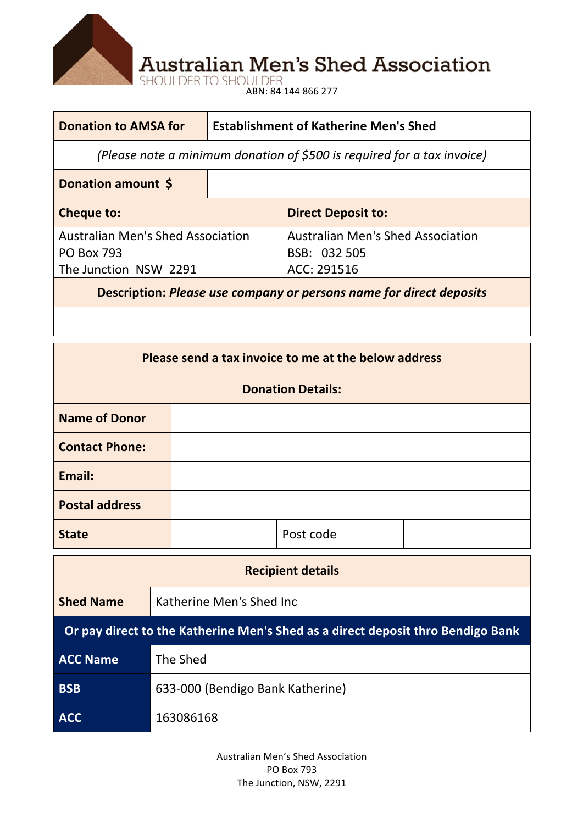

**Australian Men's Shed Association**<br>SHOULDER TO SHOULDER<br>ABN: 84 144 866 277

## **Donation to AMSA for Establishment of Katherine Men's Shed**

*(Please note a minimum donation of \$500 is required for a tax invoice)* 

| Donation amount \$                                            |                                                          |
|---------------------------------------------------------------|----------------------------------------------------------|
| <b>Cheque to:</b>                                             | <b>Direct Deposit to:</b>                                |
| <b>Australian Men's Shed Association</b><br><b>PO Box 793</b> | <b>Australian Men's Shed Association</b><br>BSB: 032 505 |
| The Junction NSW 2291                                         | ACC: 291516                                              |

**Description: Please use company or persons name for direct deposits** 

| Please send a tax invoice to me at the below address |  |           |  |  |  |
|------------------------------------------------------|--|-----------|--|--|--|
| <b>Donation Details:</b>                             |  |           |  |  |  |
| <b>Name of Donor</b>                                 |  |           |  |  |  |
| <b>Contact Phone:</b>                                |  |           |  |  |  |
| Email:                                               |  |           |  |  |  |
| <b>Postal address</b>                                |  |           |  |  |  |
| <b>State</b>                                         |  | Post code |  |  |  |

| <b>Recipient details</b>                                                        |                                  |  |  |  |
|---------------------------------------------------------------------------------|----------------------------------|--|--|--|
| <b>Shed Name</b>                                                                | Katherine Men's Shed Inc         |  |  |  |
| Or pay direct to the Katherine Men's Shed as a direct deposit thro Bendigo Bank |                                  |  |  |  |
| <b>ACC Name</b>                                                                 | The Shed                         |  |  |  |
| <b>BSB</b>                                                                      | 633-000 (Bendigo Bank Katherine) |  |  |  |
| <b>ACC</b>                                                                      | 163086168                        |  |  |  |

Australian Men's Shed Association PO Box 793 The Junction, NSW, 2291